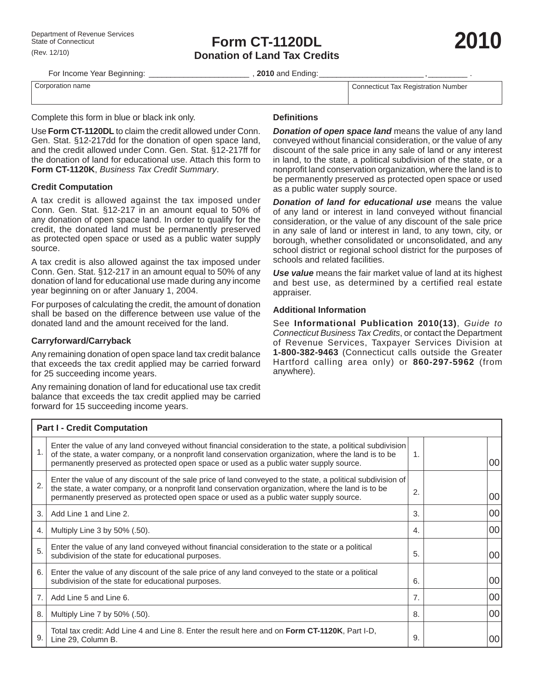# **Form CT-1120DL Donation of Land Tax Credits**



For Income Year Beginning: \_\_\_\_\_\_\_\_\_\_\_\_\_\_\_\_\_\_\_\_\_\_\_ , **2010** and Ending: \_\_\_\_\_\_\_\_\_\_\_\_\_\_\_\_\_\_\_\_\_\_\_\_ , \_\_\_\_\_\_\_\_\_ .

Corporation name Composition name Composition Number

Complete this form in blue or black ink only.

Use **Form CT-1120DL** to claim the credit allowed under Conn. Gen. Stat. §12-217dd for the donation of open space land, and the credit allowed under Conn. Gen. Stat. §12-217ff for the donation of land for educational use. Attach this form to **Form CT-1120K**, *Business Tax Credit Summary*.

## **Credit Computation**

A tax credit is allowed against the tax imposed under Conn. Gen. Stat. §12-217 in an amount equal to 50% of any donation of open space land. In order to qualify for the credit, the donated land must be permanently preserved as protected open space or used as a public water supply source.

A tax credit is also allowed against the tax imposed under Conn. Gen. Stat. §12-217 in an amount equal to 50% of any donation of land for educational use made during any income year beginning on or after January 1, 2004.

For purposes of calculating the credit, the amount of donation shall be based on the difference between use value of the donated land and the amount received for the land.

## **Carryforward/Carryback**

Any remaining donation of open space land tax credit balance that exceeds the tax credit applied may be carried forward for 25 succeeding income years.

Any remaining donation of land for educational use tax credit balance that exceeds the tax credit applied may be carried forward for 15 succeeding income years.

#### **Defi nitions**

*Donation of open space land* means the value of any land conveyed without financial consideration, or the value of any discount of the sale price in any sale of land or any interest in land, to the state, a political subdivision of the state, or a nonprofit land conservation organization, where the land is to be permanently preserved as protected open space or used as a public water supply source.

*Donation of land for educational use* means the value of any land or interest in land conveyed without financial consideration, or the value of any discount of the sale price in any sale of land or interest in land, to any town, city, or borough, whether consolidated or unconsolidated, and any school district or regional school district for the purposes of schools and related facilities.

*Use value* means the fair market value of land at its highest and best use, as determined by a certified real estate appraiser.

#### **Additional Information**

See **Informational Publication 2010(13)**, *Guide to Connecticut Business Tax Credits*, or contact the Department of Revenue Services, Taxpayer Services Division at **1-800-382-9463** (Connecticut calls outside the Greater Hartford calling area only) or **860-297-5962** (from anywhere).

| <b>Part I - Credit Computation</b> |                                                                                                                                                                                                                                                                                                               |    |  |    |  |  |  |  |
|------------------------------------|---------------------------------------------------------------------------------------------------------------------------------------------------------------------------------------------------------------------------------------------------------------------------------------------------------------|----|--|----|--|--|--|--|
|                                    | Enter the value of any land conveyed without financial consideration to the state, a political subdivision<br>of the state, a water company, or a nonprofit land conservation organization, where the land is to be<br>permanently preserved as protected open space or used as a public water supply source. | 1. |  | 00 |  |  |  |  |
| 2.                                 | Enter the value of any discount of the sale price of land conveyed to the state, a political subdivision of<br>the state, a water company, or a nonprofit land conservation organization, where the land is to be<br>permanently preserved as protected open space or used as a public water supply source.   | 2. |  | 00 |  |  |  |  |
| 3.                                 | Add Line 1 and Line 2.                                                                                                                                                                                                                                                                                        | 3. |  | 00 |  |  |  |  |
| 4.                                 | Multiply Line 3 by 50% (.50).                                                                                                                                                                                                                                                                                 | 4. |  | 00 |  |  |  |  |
| 5.                                 | Enter the value of any land conveyed without financial consideration to the state or a political<br>subdivision of the state for educational purposes.                                                                                                                                                        | 5. |  | 00 |  |  |  |  |
| 6.                                 | Enter the value of any discount of the sale price of any land conveyed to the state or a political<br>subdivision of the state for educational purposes.                                                                                                                                                      | 6. |  | 00 |  |  |  |  |
| 7.                                 | Add Line 5 and Line 6.                                                                                                                                                                                                                                                                                        | 7. |  | 00 |  |  |  |  |
| 8.                                 | Multiply Line 7 by 50% (.50).                                                                                                                                                                                                                                                                                 | 8. |  | 00 |  |  |  |  |
| 9.                                 | Total tax credit: Add Line 4 and Line 8. Enter the result here and on Form CT-1120K, Part I-D,<br>Line 29, Column B.                                                                                                                                                                                          | 9. |  | 00 |  |  |  |  |